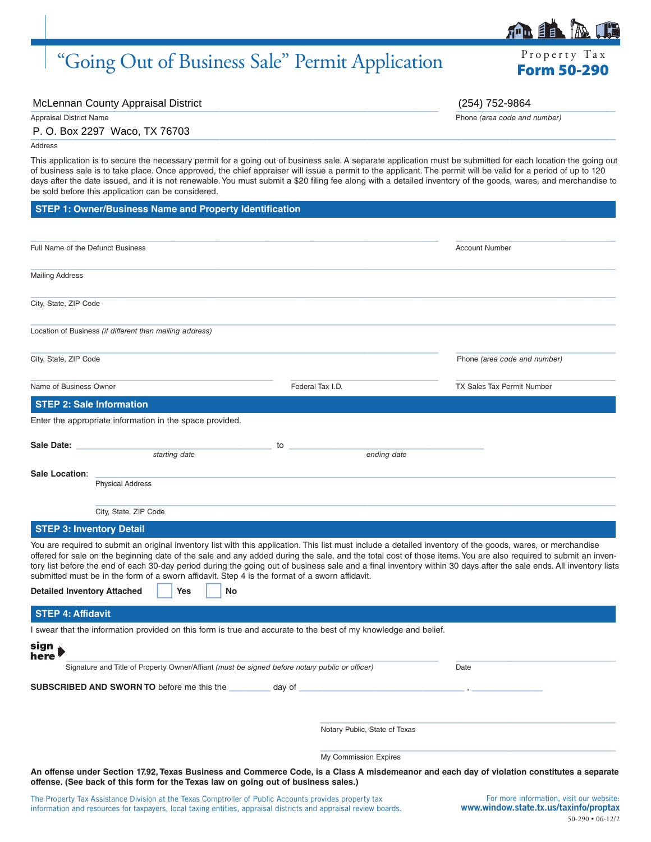# "Going Out of Business Sale" Permit Application Form 50-290

McLennan County Appraisal District (254) 752-9864

\_\_\_\_\_\_\_\_\_\_\_\_\_\_\_\_\_\_\_\_\_\_\_\_\_\_\_\_\_\_\_\_\_\_\_\_\_\_\_\_\_\_\_\_\_\_\_\_\_\_\_\_\_\_\_\_\_\_\_\_\_\_\_\_\_\_\_\_\_\_\_\_\_\_\_\_\_\_\_\_\_\_\_\_\_\_\_\_\_\_\_\_\_\_\_\_\_\_\_ P. O. Box 2297 Waco, TX 76703

Address

This application is to secure the necessary permit for a going out of business sale. A separate application must be submitted for each location the going out of business sale is to take place. Once approved, the chief appraiser will issue a permit to the applicant. The permit will be valid for a period of up to 120 days after the date issued, and it is not renewable. You must submit a \$20 filing fee along with a detailed inventory of the goods, wares, and merchandise to be sold before this application can be considered.

| <b>STEP 1: Owner/Business Name and Property Identification</b> |  |  |
|----------------------------------------------------------------|--|--|
|                                                                |  |  |

| Full Name of the Defunct Business                                   | <b>Account Number</b>                                                                                           |                                                                                                                                                                                                                                                                                                                                      |
|---------------------------------------------------------------------|-----------------------------------------------------------------------------------------------------------------|--------------------------------------------------------------------------------------------------------------------------------------------------------------------------------------------------------------------------------------------------------------------------------------------------------------------------------------|
|                                                                     |                                                                                                                 |                                                                                                                                                                                                                                                                                                                                      |
| <b>Mailing Address</b>                                              |                                                                                                                 |                                                                                                                                                                                                                                                                                                                                      |
| City, State, ZIP Code                                               |                                                                                                                 |                                                                                                                                                                                                                                                                                                                                      |
| Location of Business (if different than mailing address)            |                                                                                                                 |                                                                                                                                                                                                                                                                                                                                      |
| City, State, ZIP Code                                               |                                                                                                                 | Phone (area code and number)                                                                                                                                                                                                                                                                                                         |
| Name of Business Owner                                              | Federal Tax I.D.                                                                                                | <b>TX Sales Tax Permit Number</b>                                                                                                                                                                                                                                                                                                    |
| <b>STEP 2: Sale Information</b>                                     |                                                                                                                 |                                                                                                                                                                                                                                                                                                                                      |
| Enter the appropriate information in the space provided.            |                                                                                                                 |                                                                                                                                                                                                                                                                                                                                      |
|                                                                     |                                                                                                                 |                                                                                                                                                                                                                                                                                                                                      |
| Sale Date:<br>starting date                                         | to<br>ending date                                                                                               |                                                                                                                                                                                                                                                                                                                                      |
| Sale Location:                                                      |                                                                                                                 |                                                                                                                                                                                                                                                                                                                                      |
| <b>Physical Address</b>                                             |                                                                                                                 |                                                                                                                                                                                                                                                                                                                                      |
| City, State, ZIP Code                                               |                                                                                                                 |                                                                                                                                                                                                                                                                                                                                      |
| <b>STEP 3: Inventory Detail</b>                                     |                                                                                                                 |                                                                                                                                                                                                                                                                                                                                      |
|                                                                     |                                                                                                                 | You are required to submit an original inventory list with this application. This list must include a detailed inventory of the goods, wares, or merchandise                                                                                                                                                                         |
|                                                                     | submitted must be in the form of a sworn affidavit. Step 4 is the format of a sworn affidavit.                  | offered for sale on the beginning date of the sale and any added during the sale, and the total cost of those items. You are also required to submit an inven-<br>tory list before the end of each 30-day period during the going out of business sale and a final inventory within 30 days after the sale ends. All inventory lists |
| <b>Detailed Inventory Attached</b><br>Yes                           | No                                                                                                              |                                                                                                                                                                                                                                                                                                                                      |
| <b>STEP 4: Affidavit</b>                                            |                                                                                                                 |                                                                                                                                                                                                                                                                                                                                      |
|                                                                     | I swear that the information provided on this form is true and accurate to the best of my knowledge and belief. |                                                                                                                                                                                                                                                                                                                                      |
| sign<br>here                                                        |                                                                                                                 |                                                                                                                                                                                                                                                                                                                                      |
|                                                                     | Signature and Title of Property Owner/Affiant (must be signed before notary public or officer)                  | Date                                                                                                                                                                                                                                                                                                                                 |
| <b>SUBSCRIBED AND SWORN TO before me this the __________ day of</b> |                                                                                                                 |                                                                                                                                                                                                                                                                                                                                      |
|                                                                     |                                                                                                                 |                                                                                                                                                                                                                                                                                                                                      |
|                                                                     |                                                                                                                 |                                                                                                                                                                                                                                                                                                                                      |
|                                                                     | Notary Public, State of Texas                                                                                   |                                                                                                                                                                                                                                                                                                                                      |
|                                                                     | My Commission Expires                                                                                           |                                                                                                                                                                                                                                                                                                                                      |
|                                                                     |                                                                                                                 | An offense under Section 17.92, Texas Business and Commerce Code, is a Class A misdemeanor and each day of violation constitutes a separate                                                                                                                                                                                          |

### Appraisal District Name Phone *(area code and number)*

|  |  |  | ing Out of Business Sale" Permit Application |
|--|--|--|----------------------------------------------|
|  |  |  |                                              |



Property Tax